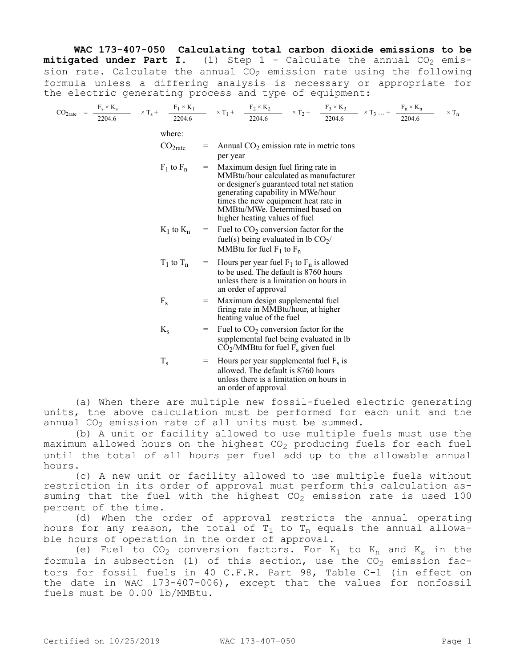**WAC 173-407-050 Calculating total carbon dioxide emissions to be mitigated under Part I.** (1) Step  $1 -$  Calculate the annual  $CO<sub>2</sub>$  emission rate. Calculate the annual  $CO<sub>2</sub>$  emission rate using the following formula unless a differing analysis is necessary or appropriate for the electric generating process and type of equipment:

$$
CO_{2\text{rate}} \;\; = \;\; \frac{F_s \times K_s}{2204.6} \qquad \times \; T_s \; + \quad \frac{F_1 \times K_1}{2204.6} \qquad \times \; T_1 \; + \quad \frac{F_2 \times K_2}{2204.6} \qquad \times \; T_2 \; + \quad \frac{F_3 \times K_3}{2204.6} \qquad \times \; T_3 \; ... \; + \;\; \frac{F_n \times K_n}{2204.6} \qquad \times \; T_n
$$

where:

- $CO<sub>2rate</sub>$  = Annual  $CO<sub>2</sub>$  emission rate in metric tons per year
- $F_1$  to  $F_n$  = Maximum design fuel firing rate in MMBtu/hour calculated as manufacturer or designer's guaranteed total net station generating capability in MWe/hour times the new equipment heat rate in MMBtu/MWe. Determined based on higher heating values of fuel
- $K_1$  to  $K_n$  = Fuel to  $CO_2$  conversion factor for the fuel(s) being evaluated in lb  $CO<sub>2</sub>/$ MMBtu for fuel  $F_1$  to  $F_n$
- $T_1$  to  $T_n$  = Hours per year fuel  $F_1$  to  $F_n$  is allowed to be used. The default is 8760 hours unless there is a limitation on hours in an order of approval
- $F_s$  = Maximum design supplemental fuel firing rate in MMBtu/hour, at higher heating value of the fuel
- $K<sub>s</sub>$  = Fuel to  $CO<sub>2</sub>$  conversion factor for the supplemental fuel being evaluated in lb  $\overline{\text{CO}_2}/\text{MMB}$ tu for fuel  $\overline{\text{F}}_s$  given fuel
- $T_s$  = Hours per year supplemental fuel  $F_s$  is allowed. The default is 8760 hours unless there is a limitation on hours in an order of approval

(a) When there are multiple new fossil-fueled electric generating units, the above calculation must be performed for each unit and the annual  $CO<sub>2</sub>$  emission rate of all units must be summed.

(b) A unit or facility allowed to use multiple fuels must use the maximum allowed hours on the highest  $CO<sub>2</sub>$  producing fuels for each fuel until the total of all hours per fuel add up to the allowable annual hours.

(c) A new unit or facility allowed to use multiple fuels without restriction in its order of approval must perform this calculation assuming that the fuel with the highest  $CO<sub>2</sub>$  emission rate is used 100 percent of the time.

(d) When the order of approval restricts the annual operating hours for any reason, the total of  $T_1$  to  $T_n$  equals the annual allowable hours of operation in the order of approval.

(e) Fuel to  $CO<sub>2</sub>$  conversion factors. For  $K<sub>1</sub>$  to  $K<sub>n</sub>$  and  $K<sub>s</sub>$  in the formula in subsection (1) of this section, use the  $CO<sub>2</sub>$  emission factors for fossil fuels in 40 C.F.R. Part 98, Table C-1 (in effect on the date in WAC 173-407-006), except that the values for nonfossil fuels must be 0.00 lb/MMBtu.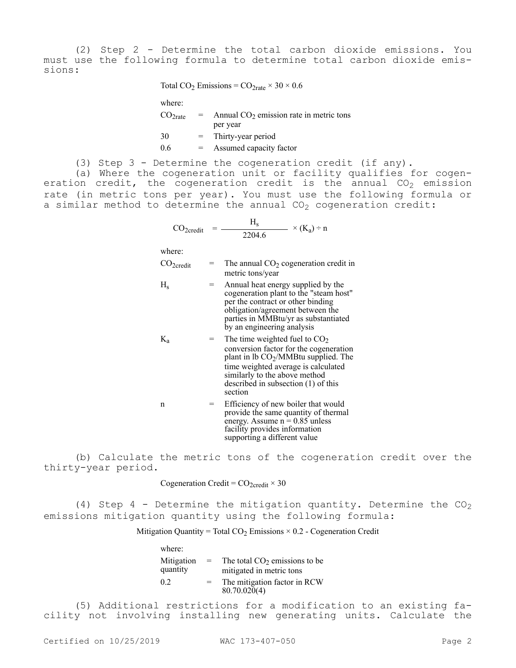(2) Step 2 - Determine the total carbon dioxide emissions. You must use the following formula to determine total carbon dioxide emissions:

Total CO<sub>2</sub> Emissions =  $CO<sub>2rate</sub> \times 30 \times 0.6$ 

| where:              |     |                                           |
|---------------------|-----|-------------------------------------------|
| CO <sub>2rate</sub> | $=$ | Annual $CO2$ emission rate in metric tons |
|                     |     | per year                                  |
| 30                  |     | Thirty-year period                        |
| 0.6                 |     | Assumed capacity factor                   |

(3) Step 3 - Determine the cogeneration credit (if any).

(a) Where the cogeneration unit or facility qualifies for cogeneration credit, the cogeneration credit is the annual  $CO<sub>2</sub>$  emission rate (in metric tons per year). You must use the following formula or a similar method to determine the annual  $CO<sub>2</sub>$  cogeneration credit:

$$
CO_{2\text{credit}} = \frac{H_s}{2204.6} \times (K_a) \div n
$$

where:

| $CO2 \text{credit}$ | $=$ | The annual $CO2$ cogeneration credit in |
|---------------------|-----|-----------------------------------------|
|                     |     | metric tons/year                        |

| $\rm H_{s}$ | $=$ | Annual heat energy supplied by the                                          |
|-------------|-----|-----------------------------------------------------------------------------|
|             |     | cogeneration plant to the "steam host"<br>per the contract or other binding |
|             |     | obligation/agreement between the                                            |
|             |     | parties in MMBtu/yr as substantiated                                        |
|             |     | by an engineering analysis                                                  |

 $K_a$  = The time weighted fuel to  $CO_2$ conversion factor for the cogeneration plant in lb CO2/MMBtu supplied. The time weighted average is calculated similarly to the above method described in subsection (1) of this section

$$
= \text{Efficiency of new boiler that would provide the same quantity of thermal energy. Assume n = 0.85 unless facility provides information supporting a different value
$$

(b) Calculate the metric tons of the cogeneration credit over the thirty-year period.

Cogeneration Credit =  $CO_{2\text{credit}} \times 30$ 

(4) Step 4 - Determine the mitigation quantity. Determine the  $CO<sub>2</sub>$ emissions mitigation quantity using the following formula:

Mitigation Quantity = Total  $CO<sub>2</sub>$  Emissions  $\times$  0.2 - Cogeneration Credit

| where:                 |     |                                                             |
|------------------------|-----|-------------------------------------------------------------|
| Mitigation<br>quantity | $=$ | The total $CO2$ emissions to be<br>mitigated in metric tons |
| 0.2                    | $=$ | The mitigation factor in RCW<br>80.70.020(4)                |

(5) Additional restrictions for a modification to an existing facility not involving installing new generating units. Calculate the